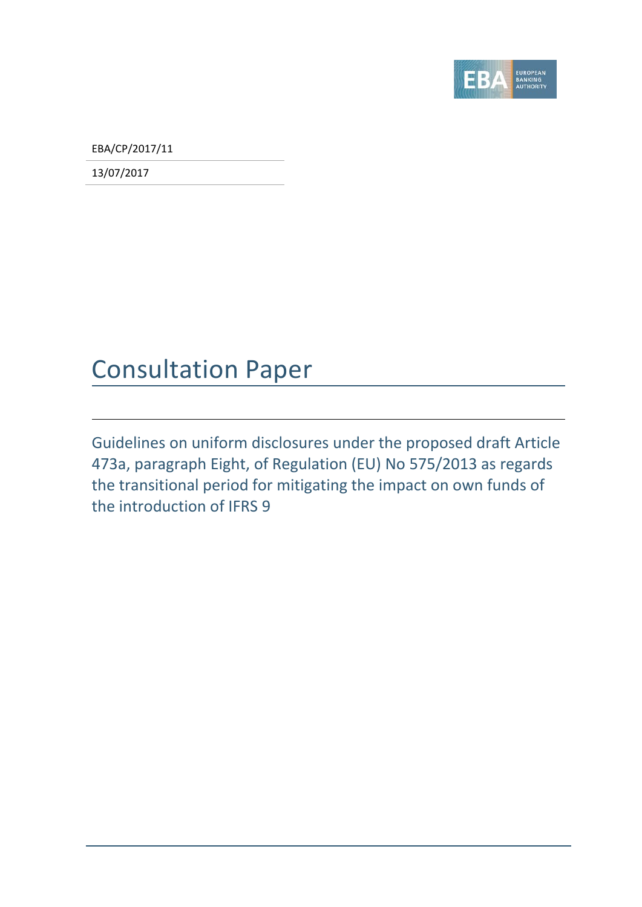

EBA/CP/2017/11

13/07/2017

### Consultation Paper

Guidelines on uniform disclosures under the proposed draft Article 473a, paragraph Eight, of Regulation (EU) No 575/2013 as regards the transitional period for mitigating the impact on own funds of the introduction of IFRS 9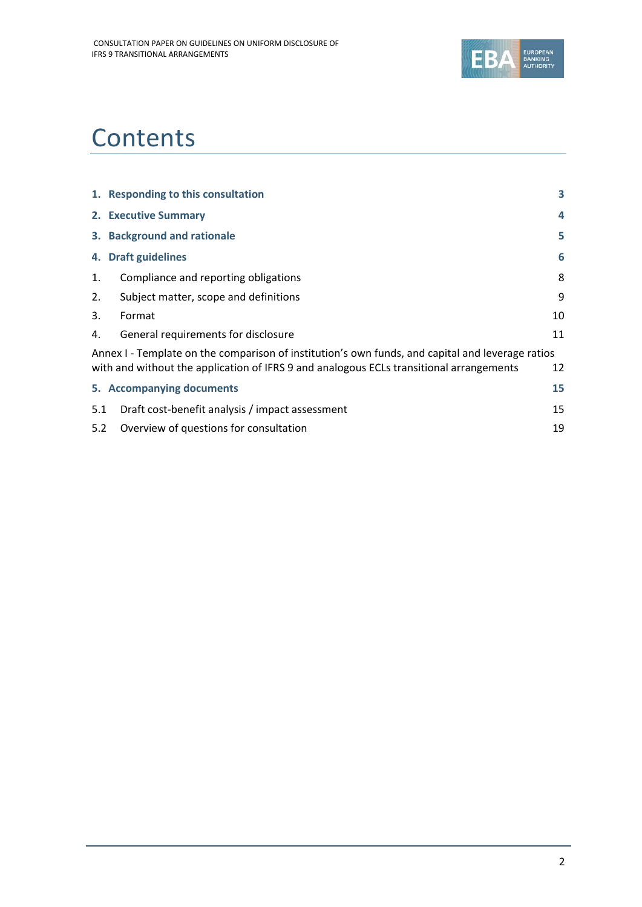

## **Contents**

| 1. Responding to this consultation                     | 3                                                                                                                                                                                           |
|--------------------------------------------------------|---------------------------------------------------------------------------------------------------------------------------------------------------------------------------------------------|
| 2. Executive Summary                                   | 4                                                                                                                                                                                           |
| 3. Background and rationale                            | 5                                                                                                                                                                                           |
| 4. Draft guidelines                                    | 6                                                                                                                                                                                           |
| Compliance and reporting obligations                   | 8                                                                                                                                                                                           |
| Subject matter, scope and definitions                  | 9                                                                                                                                                                                           |
| Format                                                 | 10                                                                                                                                                                                          |
| General requirements for disclosure                    | 11                                                                                                                                                                                          |
|                                                        |                                                                                                                                                                                             |
|                                                        | 12                                                                                                                                                                                          |
| 5. Accompanying documents                              | 15                                                                                                                                                                                          |
| Draft cost-benefit analysis / impact assessment<br>5.1 | 15                                                                                                                                                                                          |
| 5.2<br>Overview of questions for consultation          | 19                                                                                                                                                                                          |
|                                                        | Annex I - Template on the comparison of institution's own funds, and capital and leverage ratios<br>with and without the application of IFRS 9 and analogous ECLs transitional arrangements |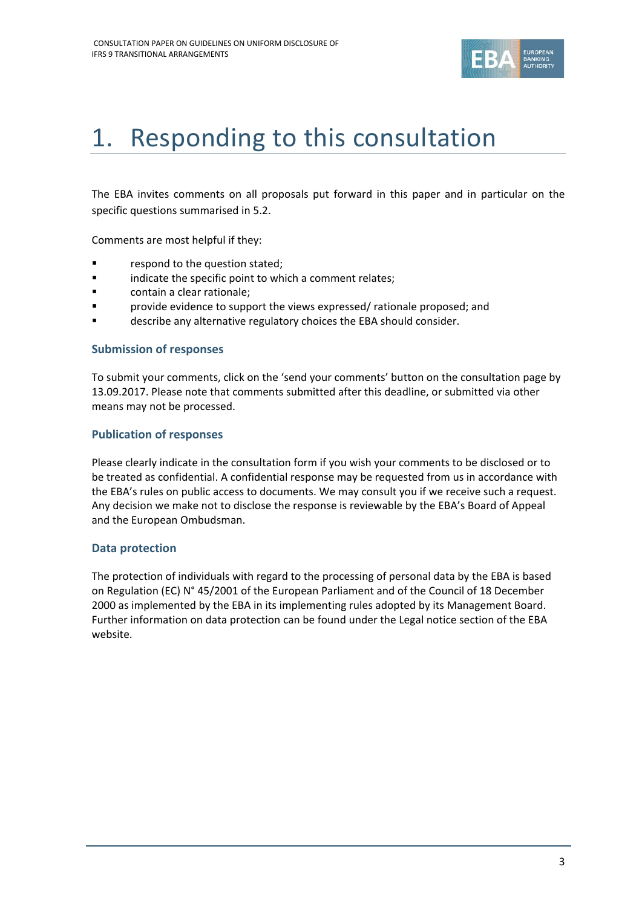

# <span id="page-2-0"></span>1. Responding to this consultation

The EBA invites comments on all proposals put forward in this paper and in particular on the specific questions summarised in 5.2.

Comments are most helpful if they:

- **Fallengia Exercise 1** respond to the question stated;
- **Example 1** indicate the specific point to which a comment relates;
- **Example:** contain a clear rationale;
- provide evidence to support the views expressed/ rationale proposed; and
- describe any alternative regulatory choices the EBA should consider.

#### **Submission of responses**

To submit your comments, click on the 'send your comments' button on the consultation page by 13.09.2017. Please note that comments submitted after this deadline, or submitted via other means may not be processed.

#### **Publication of responses**

Please clearly indicate in the consultation form if you wish your comments to be disclosed or to be treated as confidential. A confidential response may be requested from us in accordance with the EBA's rules on public access to documents. We may consult you if we receive such a request. Any decision we make not to disclose the response is reviewable by the EBA's Board of Appeal and the European Ombudsman.

#### **Data protection**

The protection of individuals with regard to the processing of personal data by the EBA is based on Regulation (EC) N° 45/2001 of the European Parliament and of the Council of 18 December 2000 as implemented by the EBA in its implementing rules adopted by its Management Board. Further information on data protection can be found under the [Legal notice section](http://eba.europa.eu/legal-notice) of the EBA website.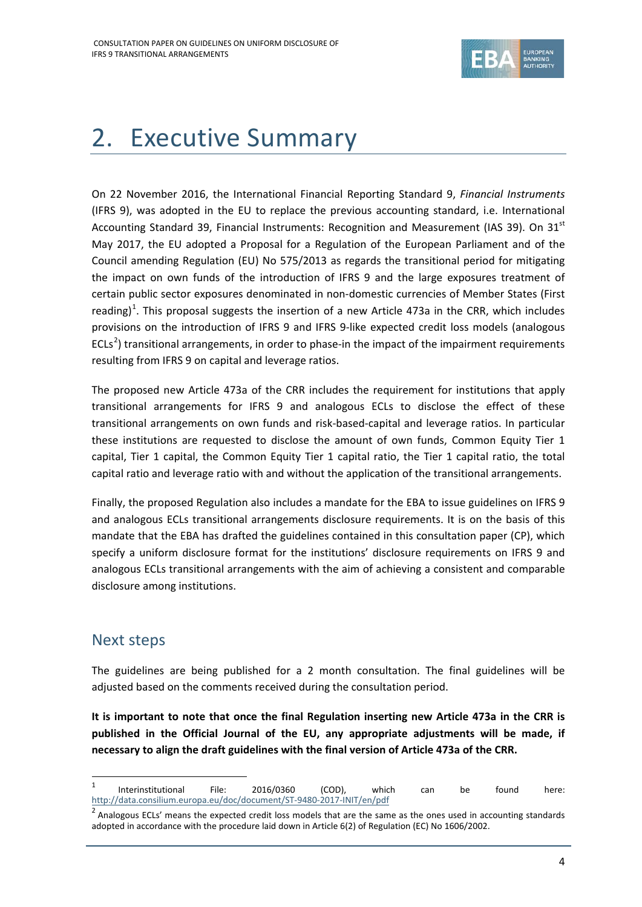

# <span id="page-3-0"></span>2. Executive Summary

On 22 November 2016, the International Financial Reporting Standard 9, *Financial Instruments* (IFRS 9), was adopted in the EU to replace the previous accounting standard, i.e. International Accounting Standard 39, Financial Instruments: Recognition and Measurement (IAS 39). On 31<sup>st</sup> May 2017, the EU adopted a Proposal for a Regulation of the European Parliament and of the Council amending Regulation (EU) No 575/2013 as regards the transitional period for mitigating the impact on own funds of the introduction of IFRS 9 and the large exposures treatment of certain public sector exposures denominated in non-domestic currencies of Member States (First reading)<sup>[1](#page-3-1)</sup>. This proposal suggests the insertion of a new Article 473a in the CRR, which includes provisions on the introduction of IFRS 9 and IFRS 9-like expected credit loss models (analogous ECLs<sup>[2](#page-3-2)</sup>) transitional arrangements, in order to phase-in the impact of the impairment requirements resulting from IFRS 9 on capital and leverage ratios.

The proposed new Article 473a of the CRR includes the requirement for institutions that apply transitional arrangements for IFRS 9 and analogous ECLs to disclose the effect of these transitional arrangements on own funds and risk-based-capital and leverage ratios. In particular these institutions are requested to disclose the amount of own funds, Common Equity Tier 1 capital, Tier 1 capital, the Common Equity Tier 1 capital ratio, the Tier 1 capital ratio, the total capital ratio and leverage ratio with and without the application of the transitional arrangements.

Finally, the proposed Regulation also includes a mandate for the EBA to issue guidelines on IFRS 9 and analogous ECLs transitional arrangements disclosure requirements. It is on the basis of this mandate that the EBA has drafted the guidelines contained in this consultation paper (CP), which specify a uniform disclosure format for the institutions' disclosure requirements on IFRS 9 and analogous ECLs transitional arrangements with the aim of achieving a consistent and comparable disclosure among institutions.

### Next steps

 $\overline{a}$ 

The guidelines are being published for a 2 month consultation. The final guidelines will be adjusted based on the comments received during the consultation period.

**It is important to note that once the final Regulation inserting new Article 473a in the CRR is published in the Official Journal of the EU, any appropriate adjustments will be made, if necessary to align the draft guidelines with the final version of Article 473a of the CRR.**

<span id="page-3-1"></span><sup>&</sup>lt;sup>1</sup> Interinstitutional File: 2016/0360 (COD), which can be found here: <http://data.consilium.europa.eu/doc/document/ST-9480-2017-INIT/en/pdf>

<span id="page-3-2"></span> $2$  Analogous ECLs' means the expected credit loss models that are the same as the ones used in accounting standards adopted in accordance with the procedure laid down in Article 6(2) of Regulation (EC) No 1606/2002.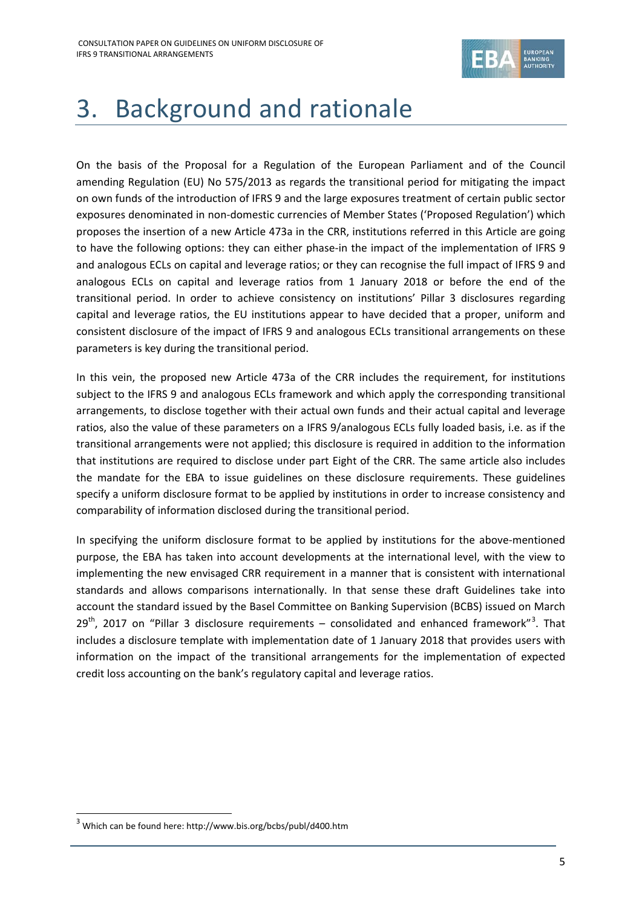

# <span id="page-4-0"></span>3. Background and rationale

On the basis of the Proposal for a Regulation of the European Parliament and of the Council amending Regulation (EU) No 575/2013 as regards the transitional period for mitigating the impact on own funds of the introduction of IFRS 9 and the large exposures treatment of certain public sector exposures denominated in non-domestic currencies of Member States ('Proposed Regulation') which proposes the insertion of a new Article 473a in the CRR, institutions referred in this Article are going to have the following options: they can either phase-in the impact of the implementation of IFRS 9 and analogous ECLs on capital and leverage ratios; or they can recognise the full impact of IFRS 9 and analogous ECLs on capital and leverage ratios from 1 January 2018 or before the end of the transitional period. In order to achieve consistency on institutions' Pillar 3 disclosures regarding capital and leverage ratios, the EU institutions appear to have decided that a proper, uniform and consistent disclosure of the impact of IFRS 9 and analogous ECLs transitional arrangements on these parameters is key during the transitional period.

In this vein, the proposed new Article 473a of the CRR includes the requirement, for institutions subject to the IFRS 9 and analogous ECLs framework and which apply the corresponding transitional arrangements, to disclose together with their actual own funds and their actual capital and leverage ratios, also the value of these parameters on a IFRS 9/analogous ECLs fully loaded basis, i.e. as if the transitional arrangements were not applied; this disclosure is required in addition to the information that institutions are required to disclose under part Eight of the CRR. The same article also includes the mandate for the EBA to issue guidelines on these disclosure requirements. These guidelines specify a uniform disclosure format to be applied by institutions in order to increase consistency and comparability of information disclosed during the transitional period.

In specifying the uniform disclosure format to be applied by institutions for the above-mentioned purpose, the EBA has taken into account developments at the international level, with the view to implementing the new envisaged CRR requirement in a manner that is consistent with international standards and allows comparisons internationally. In that sense these draft Guidelines take into account the standard issued by the Basel Committee on Banking Supervision (BCBS) issued on March  $29<sup>th</sup>$ , 2017 on "Pillar [3](#page-4-1) disclosure requirements – consolidated and enhanced framework"<sup>3</sup>. That includes a disclosure template with implementation date of 1 January 2018 that provides users with information on the impact of the transitional arrangements for the implementation of expected credit loss accounting on the bank's regulatory capital and leverage ratios.

1

<span id="page-4-1"></span><sup>3</sup> Which can be found here: http://www.bis.org/bcbs/publ/d400.htm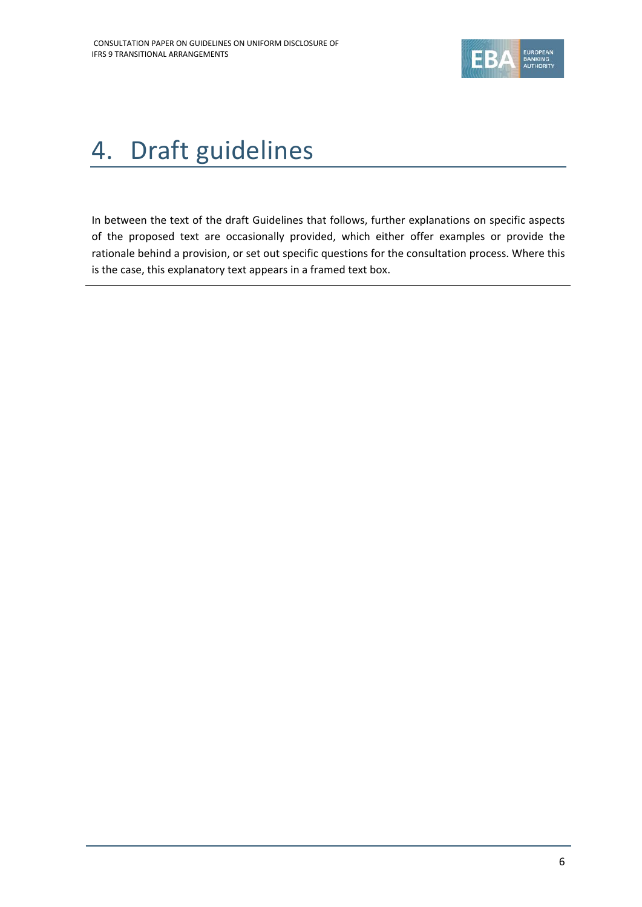

# <span id="page-5-0"></span>4. Draft guidelines

In between the text of the draft Guidelines that follows, further explanations on specific aspects of the proposed text are occasionally provided, which either offer examples or provide the rationale behind a provision, or set out specific questions for the consultation process. Where this is the case, this explanatory text appears in a framed text box.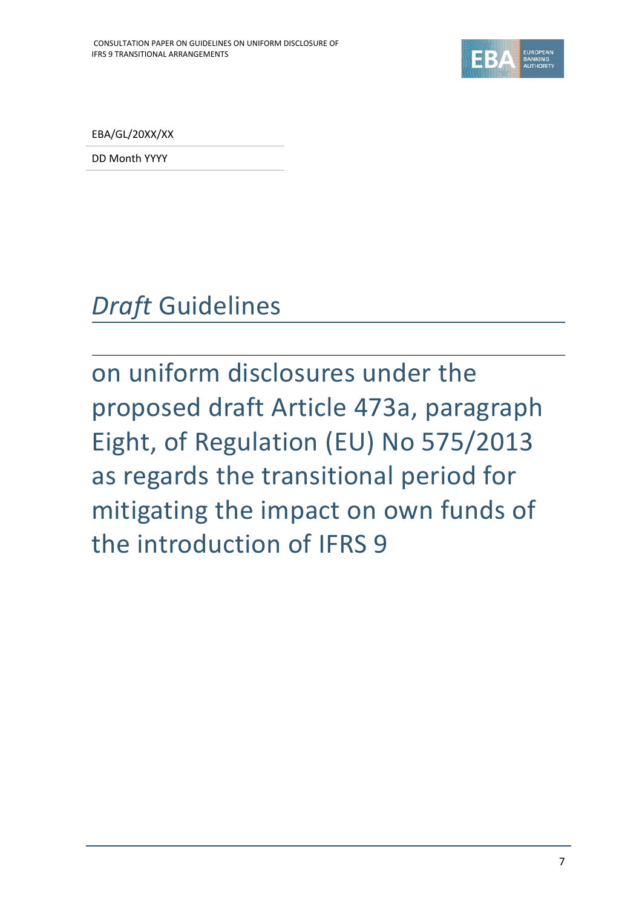

EBA/GL/20XX/XX

DD Month YYYY

# *Draft* Guidelines

on uniform disclosures under the proposed draft Article 473a, paragraph Eight, of Regulation (EU) No 575/2013 as regards the transitional period for mitigating the impact on own funds of the introduction of IFRS 9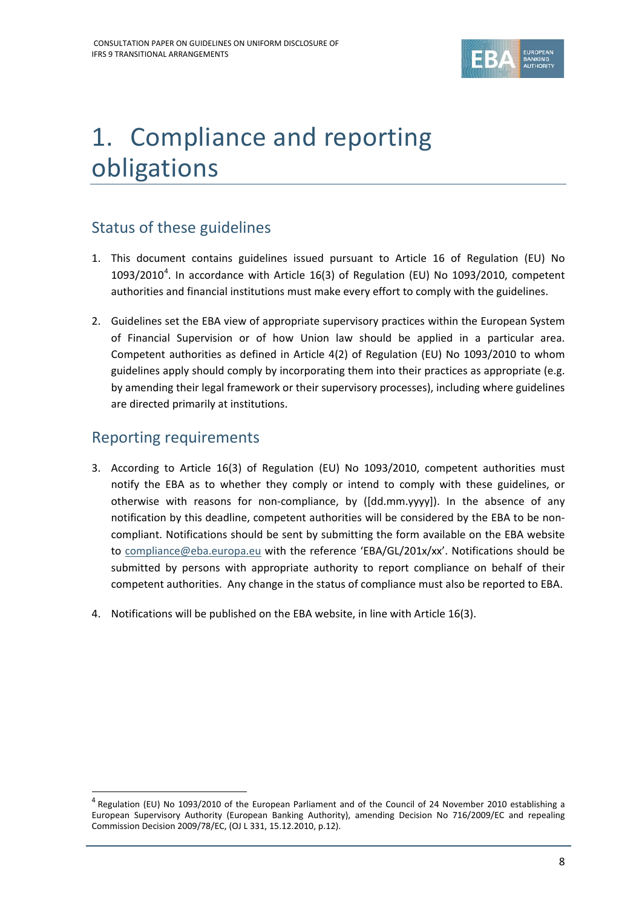

# <span id="page-7-0"></span>1. Compliance and reporting obligations

### Status of these guidelines

- 1. This document contains guidelines issued pursuant to Article 16 of Regulation (EU) No 1093/2010<sup>[4](#page-7-1)</sup>. In accordance with Article 16(3) of Regulation (EU) No 1093/2010, competent authorities and financial institutions must make every effort to comply with the guidelines.
- 2. Guidelines set the EBA view of appropriate supervisory practices within the European System of Financial Supervision or of how Union law should be applied in a particular area. Competent authorities as defined in Article 4(2) of Regulation (EU) No 1093/2010 to whom guidelines apply should comply by incorporating them into their practices as appropriate (e.g. by amending their legal framework or their supervisory processes), including where guidelines are directed primarily at institutions.

### Reporting requirements

j

- 3. According to Article 16(3) of Regulation (EU) No 1093/2010, competent authorities must notify the EBA as to whether they comply or intend to comply with these guidelines, or otherwise with reasons for non-compliance, by ([dd.mm.yyyy]). In the absence of any notification by this deadline, competent authorities will be considered by the EBA to be noncompliant. Notifications should be sent by submitting the form available on the EBA website to [compliance@eba.europa.eu](mailto:compliance@eba.europa.eu) with the reference 'EBA/GL/201x/xx'. Notifications should be submitted by persons with appropriate authority to report compliance on behalf of their competent authorities. Any change in the status of compliance must also be reported to EBA.
- 4. Notifications will be published on the EBA website, in line with Article 16(3).

<span id="page-7-1"></span><sup>4</sup> Regulation (EU) No 1093/2010 of the European Parliament and of the Council of 24 November 2010 establishing a European Supervisory Authority (European Banking Authority), amending Decision No 716/2009/EC and repealing Commission Decision 2009/78/EC, (OJ L 331, 15.12.2010, p.12).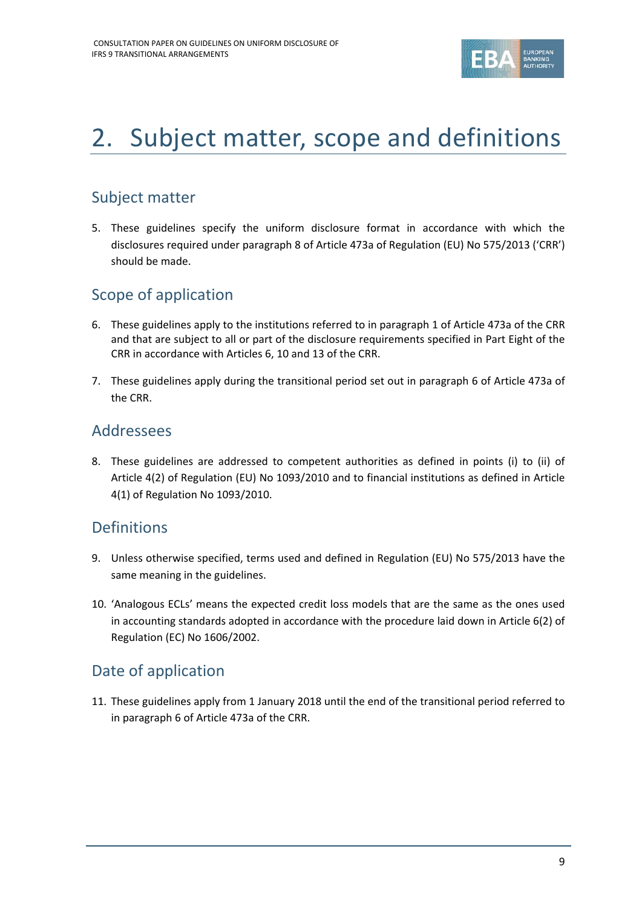

# <span id="page-8-0"></span>2. Subject matter, scope and definitions

### Subject matter

5. These guidelines specify the uniform disclosure format in accordance with which the disclosures required under paragraph 8 of Article 473a of Regulation (EU) No 575/2013 ('CRR') should be made.

### Scope of application

- 6. These guidelines apply to the institutions referred to in paragraph 1 of Article 473a of the CRR and that are subject to all or part of the disclosure requirements specified in Part Eight of the CRR in accordance with Articles 6, 10 and 13 of the CRR.
- 7. These guidelines apply during the transitional period set out in paragraph 6 of Article 473a of the CRR.

### Addressees

8. These guidelines are addressed to competent authorities as defined in points (i) to (ii) of Article 4(2) of Regulation (EU) No 1093/2010 and to financial institutions as defined in Article 4(1) of Regulation No 1093/2010.

### Definitions

- 9. Unless otherwise specified, terms used and defined in Regulation (EU) No 575/2013 have the same meaning in the guidelines.
- 10. 'Analogous ECLs' means the expected credit loss models that are the same as the ones used in accounting standards adopted in accordance with the procedure laid down in Article 6(2) of Regulation (EC) No 1606/2002.

### Date of application

11. These guidelines apply from 1 January 2018 until the end of the transitional period referred to in paragraph 6 of Article 473a of the CRR.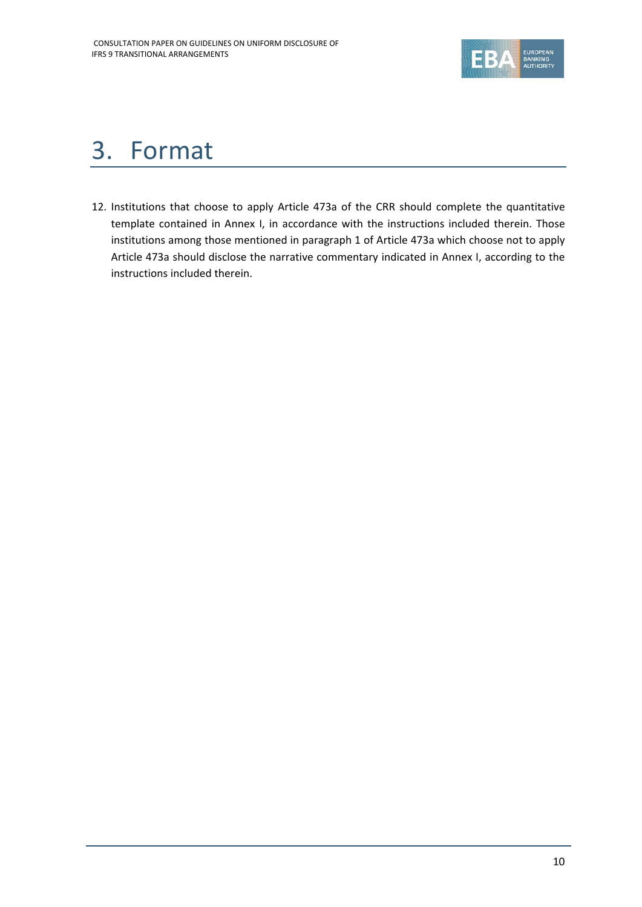

## <span id="page-9-0"></span>3. Format

12. Institutions that choose to apply Article 473a of the CRR should complete the quantitative template contained in Annex I, in accordance with the instructions included therein. Those institutions among those mentioned in paragraph 1 of Article 473a which choose not to apply Article 473a should disclose the narrative commentary indicated in Annex I, according to the instructions included therein.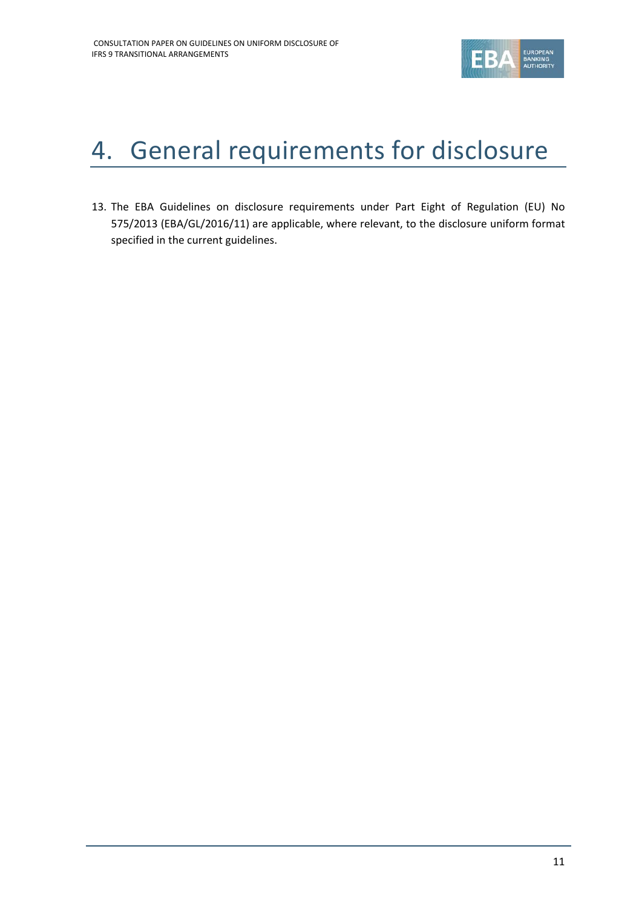

# <span id="page-10-0"></span>4. General requirements for disclosure

13. The EBA Guidelines on disclosure requirements under Part Eight of Regulation (EU) No 575/2013 (EBA/GL/2016/11) are applicable, where relevant, to the disclosure uniform format specified in the current guidelines.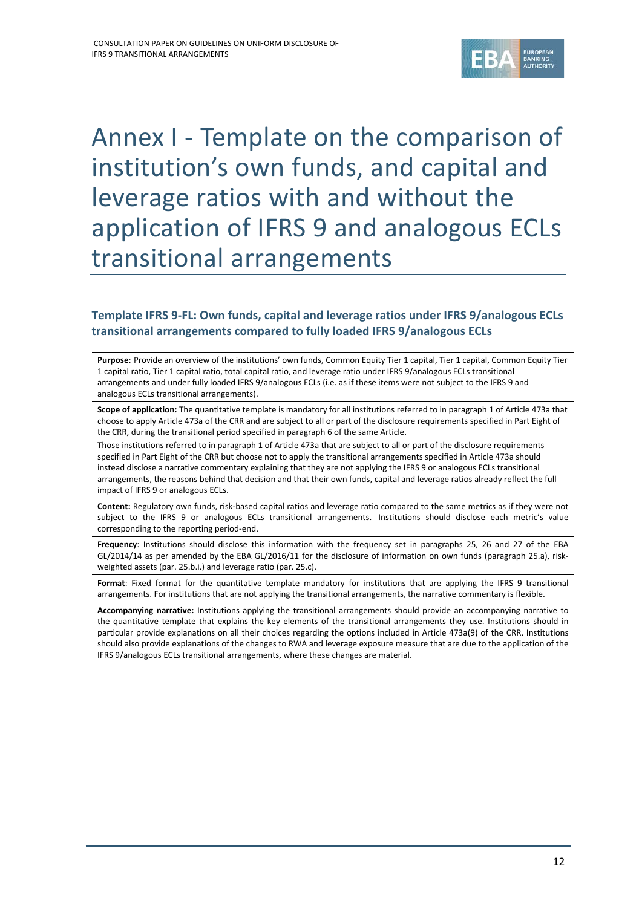

## <span id="page-11-0"></span>Annex I - Template on the comparison of institution's own funds, and capital and leverage ratios with and without the application of IFRS 9 and analogous ECLs transitional arrangements

#### **Template IFRS 9-FL: Own funds, capital and leverage ratios under IFRS 9/analogous ECLs transitional arrangements compared to fully loaded IFRS 9/analogous ECLs**

**Purpose**: Provide an overview of the institutions' own funds, Common Equity Tier 1 capital, Tier 1 capital, Common Equity Tier 1 capital ratio, Tier 1 capital ratio, total capital ratio, and leverage ratio under IFRS 9/analogous ECLs transitional arrangements and under fully loaded IFRS 9/analogous ECLs (i.e. as if these items were not subject to the IFRS 9 and analogous ECLs transitional arrangements).

**Scope of application:** The quantitative template is mandatory for all institutions referred to in paragraph 1 of Article 473a that choose to apply Article 473a of the CRR and are subject to all or part of the disclosure requirements specified in Part Eight of the CRR, during the transitional period specified in paragraph 6 of the same Article.

Those institutions referred to in paragraph 1 of Article 473a that are subject to all or part of the disclosure requirements specified in Part Eight of the CRR but choose not to apply the transitional arrangements specified in Article 473a should instead disclose a narrative commentary explaining that they are not applying the IFRS 9 or analogous ECLs transitional arrangements, the reasons behind that decision and that their own funds, capital and leverage ratios already reflect the full impact of IFRS 9 or analogous ECLs.

**Content:** Regulatory own funds, risk-based capital ratios and leverage ratio compared to the same metrics as if they were not subject to the IFRS 9 or analogous ECLs transitional arrangements. Institutions should disclose each metric's value corresponding to the reporting period-end.

**Frequency**: Institutions should disclose this information with the frequency set in paragraphs 25, 26 and 27 of the EBA GL/2014/14 as per amended by the EBA GL/2016/11 for the disclosure of information on own funds (paragraph 25.a), riskweighted assets (par. 25.b.i.) and leverage ratio (par. 25.c).

**Format**: Fixed format for the quantitative template mandatory for institutions that are applying the IFRS 9 transitional arrangements. For institutions that are not applying the transitional arrangements, the narrative commentary is flexible.

**Accompanying narrative:** Institutions applying the transitional arrangements should provide an accompanying narrative to the quantitative template that explains the key elements of the transitional arrangements they use. Institutions should in particular provide explanations on all their choices regarding the options included in Article 473a(9) of the CRR. Institutions should also provide explanations of the changes to RWA and leverage exposure measure that are due to the application of the IFRS 9/analogous ECLs transitional arrangements, where these changes are material.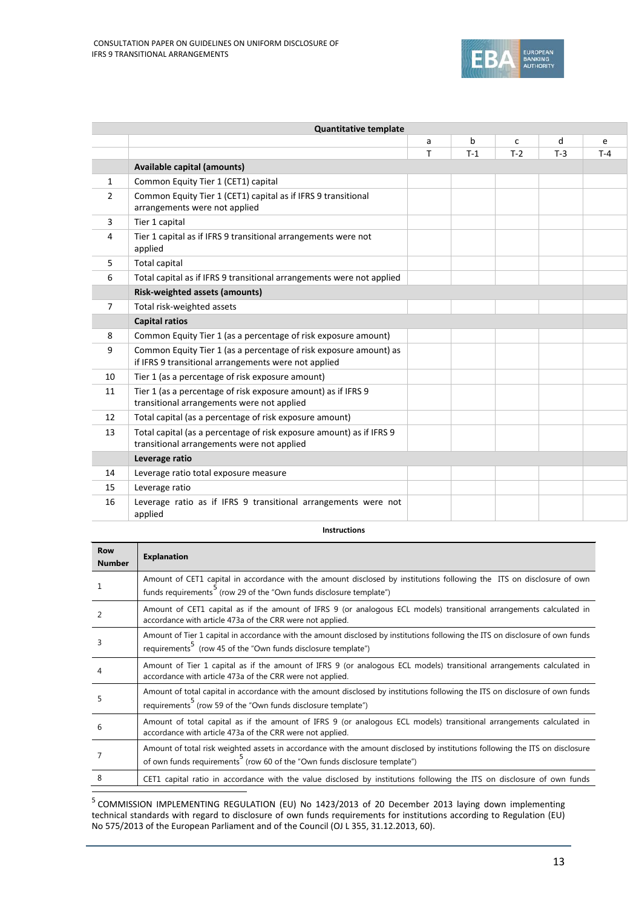

| <b>Quantitative template</b> |                                                                                                                           |    |       |       |       |       |  |
|------------------------------|---------------------------------------------------------------------------------------------------------------------------|----|-------|-------|-------|-------|--|
|                              |                                                                                                                           | a  | b     | C     | d     | e     |  |
|                              |                                                                                                                           | T. | $T-1$ | $T-2$ | $T-3$ | $T-4$ |  |
|                              | <b>Available capital (amounts)</b>                                                                                        |    |       |       |       |       |  |
| $\mathbf{1}$                 | Common Equity Tier 1 (CET1) capital                                                                                       |    |       |       |       |       |  |
| 2                            | Common Equity Tier 1 (CET1) capital as if IFRS 9 transitional<br>arrangements were not applied                            |    |       |       |       |       |  |
| 3                            | Tier 1 capital                                                                                                            |    |       |       |       |       |  |
| 4                            | Tier 1 capital as if IFRS 9 transitional arrangements were not<br>applied                                                 |    |       |       |       |       |  |
| 5                            | Total capital                                                                                                             |    |       |       |       |       |  |
| 6                            | Total capital as if IFRS 9 transitional arrangements were not applied                                                     |    |       |       |       |       |  |
|                              | Risk-weighted assets (amounts)                                                                                            |    |       |       |       |       |  |
| $\overline{7}$               | Total risk-weighted assets                                                                                                |    |       |       |       |       |  |
|                              | <b>Capital ratios</b>                                                                                                     |    |       |       |       |       |  |
| 8                            | Common Equity Tier 1 (as a percentage of risk exposure amount)                                                            |    |       |       |       |       |  |
| 9                            | Common Equity Tier 1 (as a percentage of risk exposure amount) as<br>if IFRS 9 transitional arrangements were not applied |    |       |       |       |       |  |
| 10                           | Tier 1 (as a percentage of risk exposure amount)                                                                          |    |       |       |       |       |  |
| 11                           | Tier 1 (as a percentage of risk exposure amount) as if IFRS 9<br>transitional arrangements were not applied               |    |       |       |       |       |  |
| 12                           | Total capital (as a percentage of risk exposure amount)                                                                   |    |       |       |       |       |  |
| 13                           | Total capital (as a percentage of risk exposure amount) as if IFRS 9<br>transitional arrangements were not applied        |    |       |       |       |       |  |
|                              | Leverage ratio                                                                                                            |    |       |       |       |       |  |
| 14                           | Leverage ratio total exposure measure                                                                                     |    |       |       |       |       |  |
| 15                           | Leverage ratio                                                                                                            |    |       |       |       |       |  |
| 16                           | Leverage ratio as if IFRS 9 transitional arrangements were not<br>applied                                                 |    |       |       |       |       |  |

<span id="page-12-0"></span>**Instructions**

| <b>Row</b><br><b>Number</b> | <b>Explanation</b>                                                                                                                                                                                                     |
|-----------------------------|------------------------------------------------------------------------------------------------------------------------------------------------------------------------------------------------------------------------|
|                             | Amount of CET1 capital in accordance with the amount disclosed by institutions following the ITS on disclosure of own<br>funds requirements <sup>5</sup> (row 29 of the "Own funds disclosure template")               |
|                             | Amount of CET1 capital as if the amount of IFRS 9 (or analogous ECL models) transitional arrangements calculated in<br>accordance with article 473a of the CRR were not applied.                                       |
| 3                           | Amount of Tier 1 capital in accordance with the amount disclosed by institutions following the ITS on disclosure of own funds<br>requirements <sup>5</sup> (row 45 of the "Own funds disclosure template")             |
|                             | Amount of Tier 1 capital as if the amount of IFRS 9 (or analogous ECL models) transitional arrangements calculated in<br>accordance with article 473a of the CRR were not applied.                                     |
| 5                           | Amount of total capital in accordance with the amount disclosed by institutions following the ITS on disclosure of own funds<br>requirements <sup>5</sup> (row 59 of the "Own funds disclosure template")              |
| 6                           | Amount of total capital as if the amount of IFRS 9 (or analogous ECL models) transitional arrangements calculated in<br>accordance with article 473a of the CRR were not applied.                                      |
|                             | Amount of total risk weighted assets in accordance with the amount disclosed by institutions following the ITS on disclosure<br>of own funds requirements <sup>5</sup> (row 60 of the "Own funds disclosure template") |
|                             | CET1 capital ratio in accordance with the value disclosed by institutions following the ITS on disclosure of own funds                                                                                                 |

<span id="page-12-1"></span> <sup>5</sup> COMMISSION IMPLEMENTING REGULATION (EU) No 1423/2013 of 20 December 2013 laying down implementing technical standards with regard to disclosure of own funds requirements for institutions according to Regulation (EU) No 575/2013 of the European Parliament and of the Council (OJ L 355, 31.12.2013, 60).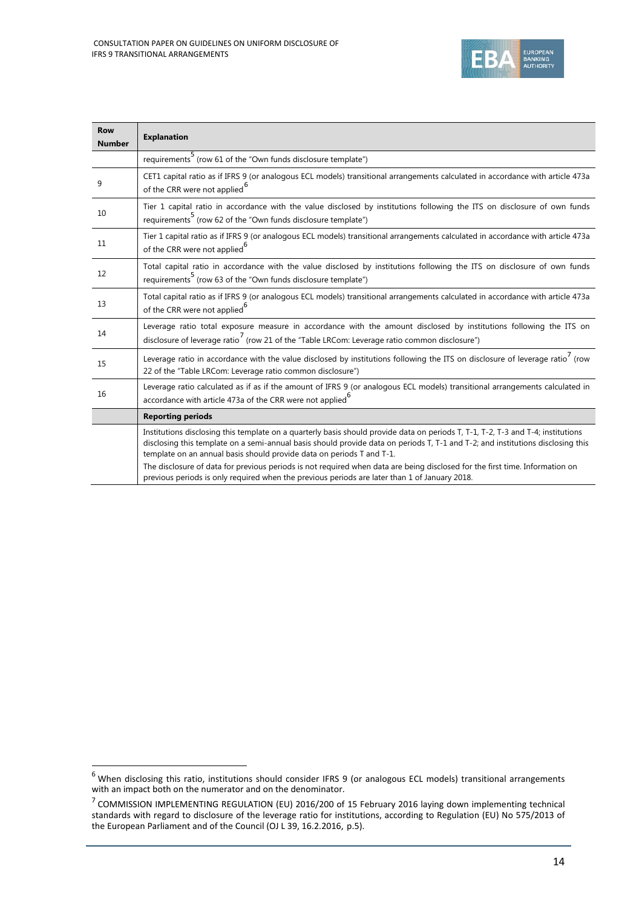

<span id="page-13-1"></span><span id="page-13-0"></span>

| <b>Row</b><br><b>Number</b> | <b>Explanation</b>                                                                                                                                                                                                                                                                                                                           |
|-----------------------------|----------------------------------------------------------------------------------------------------------------------------------------------------------------------------------------------------------------------------------------------------------------------------------------------------------------------------------------------|
|                             | requirements <sup>5</sup> (row 61 of the "Own funds disclosure template")                                                                                                                                                                                                                                                                    |
| 9                           | CET1 capital ratio as if IFRS 9 (or analogous ECL models) transitional arrangements calculated in accordance with article 473a<br>of the CRR were not applied <sup>6</sup>                                                                                                                                                                   |
| 10                          | Tier 1 capital ratio in accordance with the value disclosed by institutions following the ITS on disclosure of own funds<br>requirements <sup>5</sup> (row 62 of the "Own funds disclosure template")                                                                                                                                        |
| 11                          | Tier 1 capital ratio as if IFRS 9 (or analogous ECL models) transitional arrangements calculated in accordance with article 473a<br>of the CRR were not applied <sup>b</sup>                                                                                                                                                                 |
| 12                          | Total capital ratio in accordance with the value disclosed by institutions following the ITS on disclosure of own funds<br>requirements <sup>5</sup> (row 63 of the "Own funds disclosure template")                                                                                                                                         |
| 13                          | Total capital ratio as if IFRS 9 (or analogous ECL models) transitional arrangements calculated in accordance with article 473a<br>of the CRR were not applied <sup>6</sup>                                                                                                                                                                  |
| 14                          | Leverage ratio total exposure measure in accordance with the amount disclosed by institutions following the ITS on<br>disclosure of leverage ratio <sup>7</sup> (row 21 of the "Table LRCom: Leverage ratio common disclosure")                                                                                                              |
| 15                          | Leverage ratio in accordance with the value disclosed by institutions following the ITS on disclosure of leverage ratio <sup>7</sup> (row<br>22 of the "Table LRCom: Leverage ratio common disclosure")                                                                                                                                      |
| 16                          | Leverage ratio calculated as if as if the amount of IFRS 9 (or analogous ECL models) transitional arrangements calculated in<br>accordance with article 473a of the CRR were not applied <sup>b</sup>                                                                                                                                        |
|                             | <b>Reporting periods</b>                                                                                                                                                                                                                                                                                                                     |
|                             | Institutions disclosing this template on a quarterly basis should provide data on periods T, T-1, T-2, T-3 and T-4; institutions<br>disclosing this template on a semi-annual basis should provide data on periods T, T-1 and T-2; and institutions disclosing this<br>template on an annual basis should provide data on periods T and T-1. |
|                             | The disclosure of data for previous periods is not required when data are being disclosed for the first time. Information on<br>previous periods is only required when the previous periods are later than 1 of January 2018.                                                                                                                |

<span id="page-13-2"></span> <sup>6</sup> When disclosing this ratio, institutions should consider IFRS 9 (or analogous ECL models) transitional arrangements with an impact both on the numerator and on the denominator.

<span id="page-13-3"></span> $<sup>7</sup>$  COMMISSION IMPLEMENTING REGULATION (EU) 2016/200 of 15 February 2016 laying down implementing technical</sup> standards with regard to disclosure of the leverage ratio for institutions, according to Regulation (EU) No 575/2013 of the European Parliament and of the Council (OJ L 39, 16.2.2016, p.5).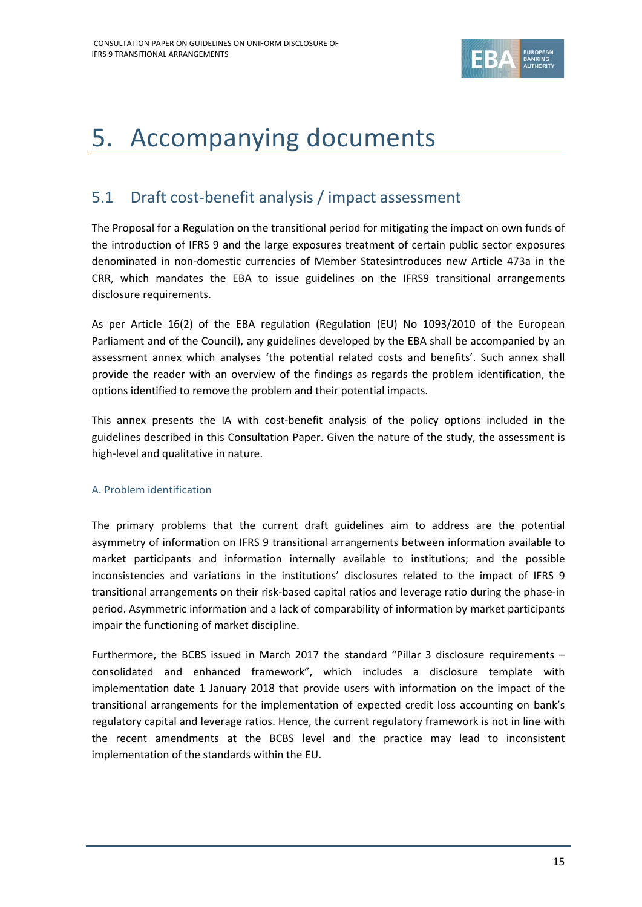

### <span id="page-14-0"></span>5. Accompanying documents

### <span id="page-14-1"></span>5.1 Draft cost-benefit analysis / impact assessment

The Proposal for a Regulation on the transitional period for mitigating the impact on own funds of the introduction of IFRS 9 and the large exposures treatment of certain public sector exposures denominated in non-domestic currencies of Member Statesintroduces new Article 473a in the CRR, which mandates the EBA to issue guidelines on the IFRS9 transitional arrangements disclosure requirements.

As per Article 16(2) of the EBA regulation (Regulation (EU) No 1093/2010 of the European Parliament and of the Council), any guidelines developed by the EBA shall be accompanied by an assessment annex which analyses 'the potential related costs and benefits'. Such annex shall provide the reader with an overview of the findings as regards the problem identification, the options identified to remove the problem and their potential impacts.

This annex presents the IA with cost-benefit analysis of the policy options included in the guidelines described in this Consultation Paper. Given the nature of the study, the assessment is high-level and qualitative in nature.

#### A. Problem identification

The primary problems that the current draft guidelines aim to address are the potential asymmetry of information on IFRS 9 transitional arrangements between information available to market participants and information internally available to institutions; and the possible inconsistencies and variations in the institutions' disclosures related to the impact of IFRS 9 transitional arrangements on their risk-based capital ratios and leverage ratio during the phase-in period. Asymmetric information and a lack of comparability of information by market participants impair the functioning of market discipline.

Furthermore, the BCBS issued in March 2017 the standard "Pillar 3 disclosure requirements – consolidated and enhanced framework", which includes a disclosure template with implementation date 1 January 2018 that provide users with information on the impact of the transitional arrangements for the implementation of expected credit loss accounting on bank's regulatory capital and leverage ratios. Hence, the current regulatory framework is not in line with the recent amendments at the BCBS level and the practice may lead to inconsistent implementation of the standards within the EU.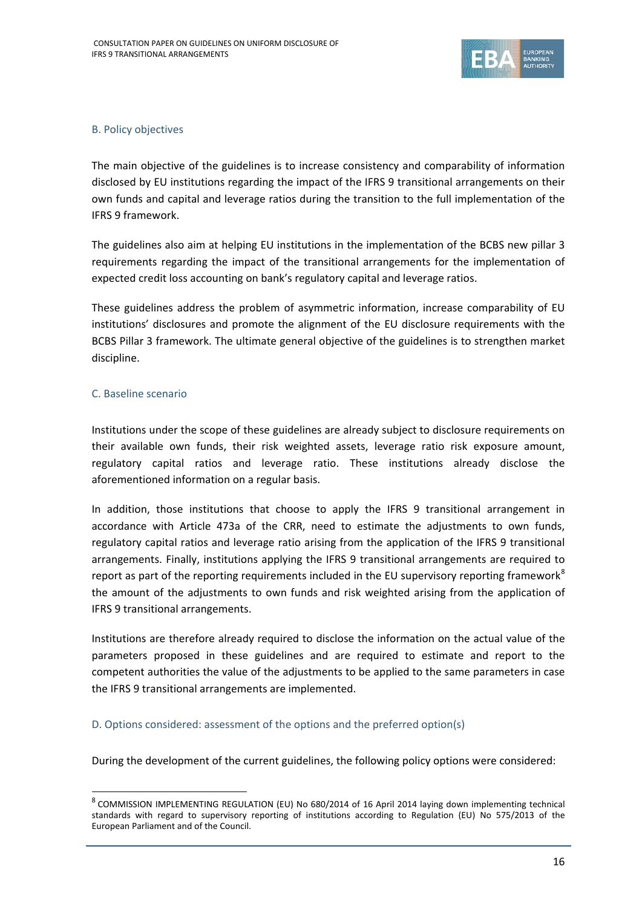

#### B. Policy objectives

The main objective of the guidelines is to increase consistency and comparability of information disclosed by EU institutions regarding the impact of the IFRS 9 transitional arrangements on their own funds and capital and leverage ratios during the transition to the full implementation of the IFRS 9 framework.

The guidelines also aim at helping EU institutions in the implementation of the BCBS new pillar 3 requirements regarding the impact of the transitional arrangements for the implementation of expected credit loss accounting on bank's regulatory capital and leverage ratios.

These guidelines address the problem of asymmetric information, increase comparability of EU institutions' disclosures and promote the alignment of the EU disclosure requirements with the BCBS Pillar 3 framework. The ultimate general objective of the guidelines is to strengthen market discipline.

#### C. Baseline scenario

j

Institutions under the scope of these guidelines are already subject to disclosure requirements on their available own funds, their risk weighted assets, leverage ratio risk exposure amount, regulatory capital ratios and leverage ratio. These institutions already disclose the aforementioned information on a regular basis.

In addition, those institutions that choose to apply the IFRS 9 transitional arrangement in accordance with Article 473a of the CRR, need to estimate the adjustments to own funds, regulatory capital ratios and leverage ratio arising from the application of the IFRS 9 transitional arrangements. Finally, institutions applying the IFRS 9 transitional arrangements are required to report as part of the reporting requirements included in the EU supervisory reporting framework<sup>[8](#page-15-0)</sup> the amount of the adjustments to own funds and risk weighted arising from the application of IFRS 9 transitional arrangements.

Institutions are therefore already required to disclose the information on the actual value of the parameters proposed in these guidelines and are required to estimate and report to the competent authorities the value of the adjustments to be applied to the same parameters in case the IFRS 9 transitional arrangements are implemented.

#### D. Options considered: assessment of the options and the preferred option(s)

During the development of the current guidelines, the following policy options were considered:

<span id="page-15-0"></span><sup>8</sup> COMMISSION IMPLEMENTING REGULATION (EU) No 680/2014 of 16 April 2014 laying down implementing technical standards with regard to supervisory reporting of institutions according to Regulation (EU) No 575/2013 of the European Parliament and of the Council.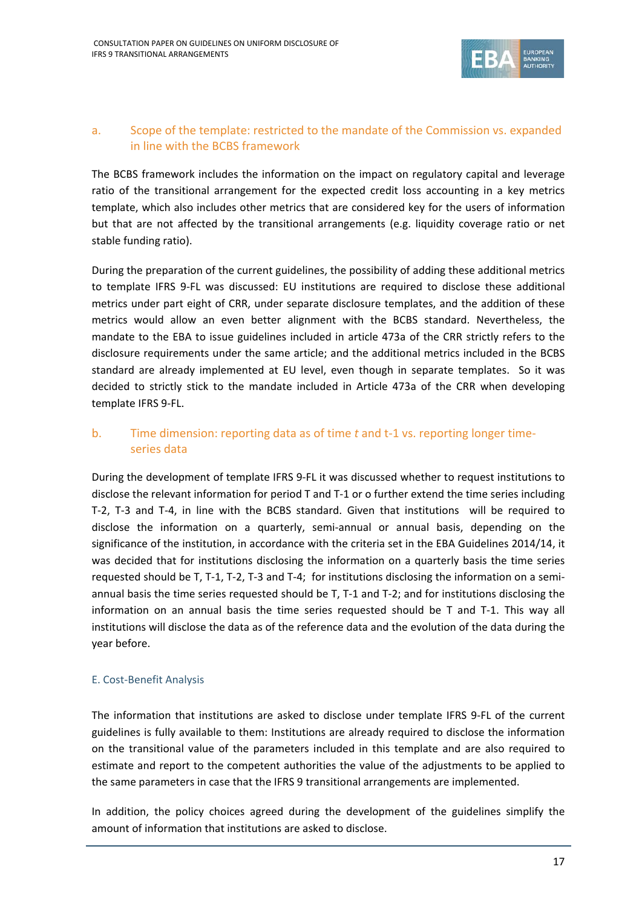

### a. Scope of the template: restricted to the mandate of the Commission vs. expanded in line with the BCBS framework

The BCBS framework includes the information on the impact on regulatory capital and leverage ratio of the transitional arrangement for the expected credit loss accounting in a key metrics template, which also includes other metrics that are considered key for the users of information but that are not affected by the transitional arrangements (e.g. liquidity coverage ratio or net stable funding ratio).

During the preparation of the current guidelines, the possibility of adding these additional metrics to template IFRS 9-FL was discussed: EU institutions are required to disclose these additional metrics under part eight of CRR, under separate disclosure templates, and the addition of these metrics would allow an even better alignment with the BCBS standard. Nevertheless, the mandate to the EBA to issue guidelines included in article 473a of the CRR strictly refers to the disclosure requirements under the same article; and the additional metrics included in the BCBS standard are already implemented at EU level, even though in separate templates. So it was decided to strictly stick to the mandate included in Article 473a of the CRR when developing template IFRS 9-FL.

#### b. Time dimension: reporting data as of time *t* and t-1 vs. reporting longer timeseries data

During the development of template IFRS 9-FL it was discussed whether to request institutions to disclose the relevant information for period T and T-1 or o further extend the time series including T-2, T-3 and T-4, in line with the BCBS standard. Given that institutions will be required to disclose the information on a quarterly, semi-annual or annual basis, depending on the significance of the institution, in accordance with the criteria set in the EBA Guidelines 2014/14, it was decided that for institutions disclosing the information on a quarterly basis the time series requested should be T, T-1, T-2, T-3 and T-4; for institutions disclosing the information on a semiannual basis the time series requested should be T, T-1 and T-2; and for institutions disclosing the information on an annual basis the time series requested should be T and T-1. This way all institutions will disclose the data as of the reference data and the evolution of the data during the year before.

#### E. Cost-Benefit Analysis

The information that institutions are asked to disclose under template IFRS 9-FL of the current guidelines is fully available to them: Institutions are already required to disclose the information on the transitional value of the parameters included in this template and are also required to estimate and report to the competent authorities the value of the adjustments to be applied to the same parameters in case that the IFRS 9 transitional arrangements are implemented.

In addition, the policy choices agreed during the development of the guidelines simplify the amount of information that institutions are asked to disclose.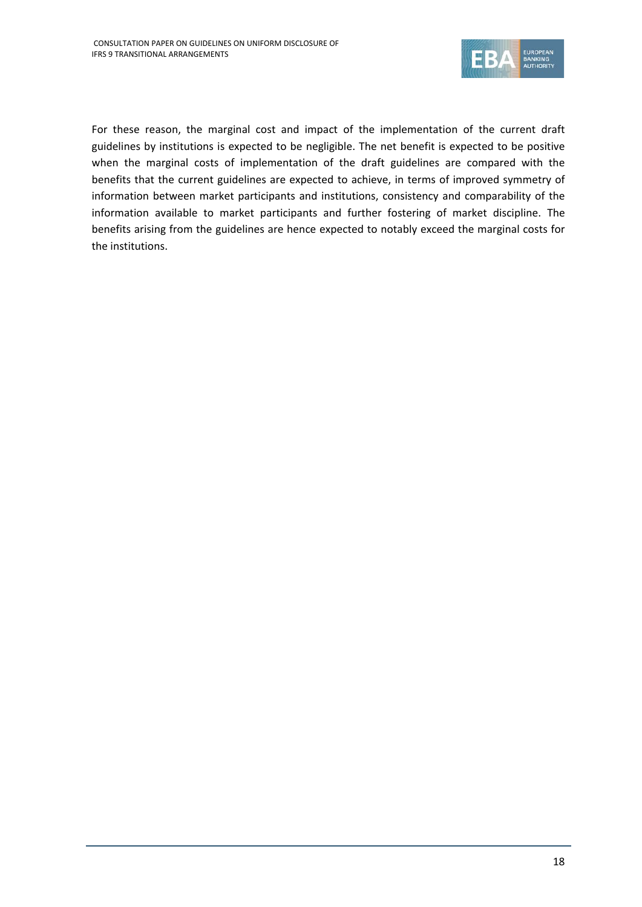

For these reason, the marginal cost and impact of the implementation of the current draft guidelines by institutions is expected to be negligible. The net benefit is expected to be positive when the marginal costs of implementation of the draft guidelines are compared with the benefits that the current guidelines are expected to achieve, in terms of improved symmetry of information between market participants and institutions, consistency and comparability of the information available to market participants and further fostering of market discipline. The benefits arising from the guidelines are hence expected to notably exceed the marginal costs for the institutions.